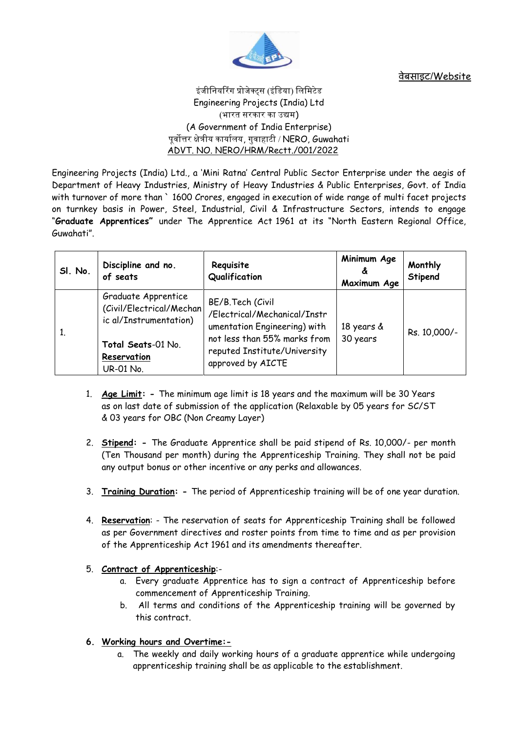

वेबसाइट/Website

# इंजीनियरिंग प्रोजेक्ट्स (इंडिया) लिमिटेड Engineering Projects (India) Ltd (भारत सरकार का उद्यम) (A Government of India Enterprise) पर्वोत्तर क्षेत्रीय कार्यालय, गवाहाटी /  $NERO$ ,  $Guwahati$ ADVT. NO. NERO/HRM/Rectt./001/2022

Engineering Projects (India) Ltd., a 'Mini Ratna' Central Public Sector Enterprise under the aegis of Department of Heavy Industries, Ministry of Heavy Industries & Public Enterprises, Govt. of India with turnover of more than ` 1600 Crores, engaged in execution of wide range of multi facet projects on turnkey basis in Power, Steel, Industrial, Civil & Infrastructure Sectors, intends to engage "**Graduate Apprentices"** under The Apprentice Act 1961 at its "North Eastern Regional Office, Guwahati".

| SI. No. | Discipline and no.<br>of seats                                                                                                      | Requisite<br>Qualification                                                                                                                                            | Minimum Age<br>ፊ<br>Maximum Age | Monthly<br>Stipend |
|---------|-------------------------------------------------------------------------------------------------------------------------------------|-----------------------------------------------------------------------------------------------------------------------------------------------------------------------|---------------------------------|--------------------|
| 1.      | Graduate Apprentice<br>(Civil/Electrical/Mechan)<br>ic al/Instrumentation)<br>Total Seats-01 No.<br>Reservation<br><b>UR-01 No.</b> | BE/B.Tech (Civil<br>/Electrical/Mechanical/Instr<br>umentation Engineering) with<br>not less than 55% marks from<br>reputed Institute/University<br>approved by AICTE | 18 years &<br>30 years          | Rs. 10,000/-       |

- 1. **Age Limit: -** The minimum age limit is 18 years and the maximum will be 30 Years as on last date of submission of the application (Relaxable by 05 years for SC/ST & 03 years for OBC (Non Creamy Layer)
- 2. **Stipend: -** The Graduate Apprentice shall be paid stipend of Rs. 10,000/- per month (Ten Thousand per month) during the Apprenticeship Training. They shall not be paid any output bonus or other incentive or any perks and allowances.
- 3. **Training Duration: -** The period of Apprenticeship training will be of one year duration.
- 4. **Reservation**: The reservation of seats for Apprenticeship Training shall be followed as per Government directives and roster points from time to time and as per provision of the Apprenticeship Act 1961 and its amendments thereafter.
- 5. **Contract of Apprenticeship**:
	- a. Every graduate Apprentice has to sign a contract of Apprenticeship before commencement of Apprenticeship Training.
	- b. All terms and conditions of the Apprenticeship training will be governed by this contract.
- **6. Working hours and Overtime:**
	- a. The weekly and daily working hours of a graduate apprentice while undergoing apprenticeship training shall be as applicable to the establishment.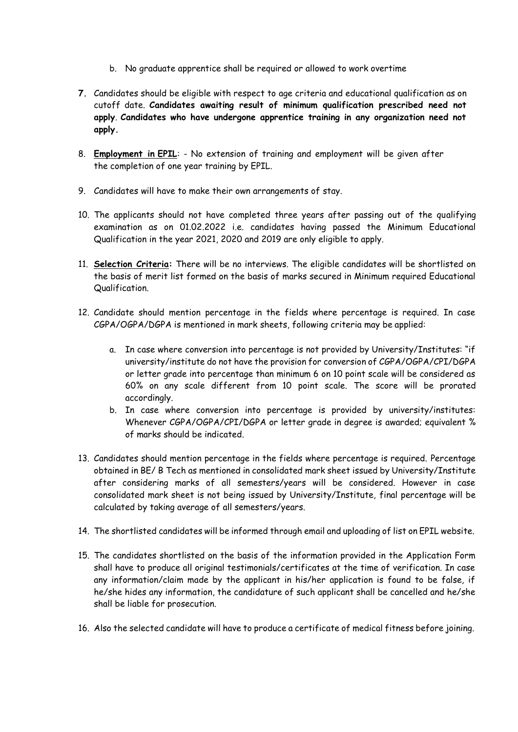- b. No graduate apprentice shall be required or allowed to work overtime
- **7.** Candidates should be eligible with respect to age criteria and educational qualification as on cutoff date. **Candidates awaiting result of minimum qualification prescribed need not apply**. **Candidates who have undergone apprentice training in any organization need not apply.**
- 8. **Employment in EPIL**: No extension of training and employment will be given after the completion of one year training by EPIL.
- 9. Candidates will have to make their own arrangements of stay.
- 10. The applicants should not have completed three years after passing out of the qualifying examination as on 01.02.2022 i.e. candidates having passed the Minimum Educational Qualification in the year 2021, 2020 and 2019 are only eligible to apply.
- 11. **Selection Criteria:** There will be no interviews. The eligible candidates will be shortlisted on the basis of merit list formed on the basis of marks secured in Minimum required Educational Qualification.
- 12. Candidate should mention percentage in the fields where percentage is required. In case CGPA/OGPA/DGPA is mentioned in mark sheets, following criteria may be applied:
	- a. In case where conversion into percentage is not provided by University/Institutes: "if university/institute do not have the provision for conversion of CGPA/OGPA/CPI/DGPA or letter grade into percentage than minimum 6 on 10 point scale will be considered as 60% on any scale different from 10 point scale. The score will be prorated accordingly.
	- b. In case where conversion into percentage is provided by university/institutes: Whenever CGPA/OGPA/CPI/DGPA or letter grade in degree is awarded; equivalent % of marks should be indicated.
- 13. Candidates should mention percentage in the fields where percentage is required. Percentage obtained in BE/ B Tech as mentioned in consolidated mark sheet issued by University/Institute after considering marks of all semesters/years will be considered. However in case consolidated mark sheet is not being issued by University/Institute, final percentage will be calculated by taking average of all semesters/years.
- 14. The shortlisted candidates will be informed through email and uploading of list on EPIL website.
- 15. The candidates shortlisted on the basis of the information provided in the Application Form shall have to produce all original testimonials/certificates at the time of verification. In case any information/claim made by the applicant in his/her application is found to be false, if he/she hides any information, the candidature of such applicant shall be cancelled and he/she shall be liable for prosecution.
- 16. Also the selected candidate will have to produce a certificate of medical fitness before joining.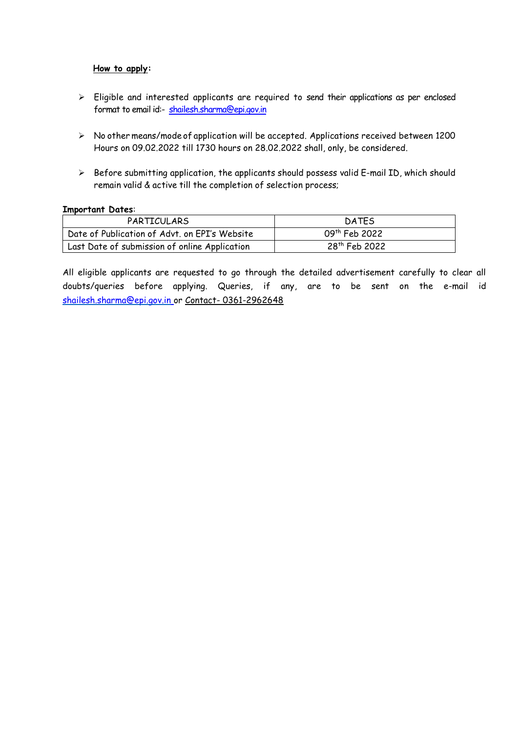## **How to apply:**

- Eligible and interested applicants are required to send their applications as per enclosed format to email id:- [shailesh.sharma@epi.gov.in](mailto:shailesh.sharma@epi.gov.in)
- No other means/mode of application will be accepted. Applications received between 1200 Hours on 09.02.2022 till 1730 hours on 28.02.2022 shall, only, be considered.
- $\triangleright$  Before submitting application, the applicants should possess valid E-mail ID, which should remain valid & active till the completion of selection process;

#### **Important Dates**:

| PARTICULARS                                   | <b>DATES</b>              |
|-----------------------------------------------|---------------------------|
| Date of Publication of Advt. on EPI's Website | 09 <sup>th</sup> Feb 2022 |
| Last Date of submission of online Application | 28 <sup>th</sup> Feb 2022 |

All eligible applicants are requested to go through the detailed advertisement carefully to clear all doubts/queries before applying. Queries, if any, are to be sent on the e-mail id [shailesh.sharma@epi.gov.in](mailto:shailesh.sharma@epi.gov.in) or Contact- 0361-2962648